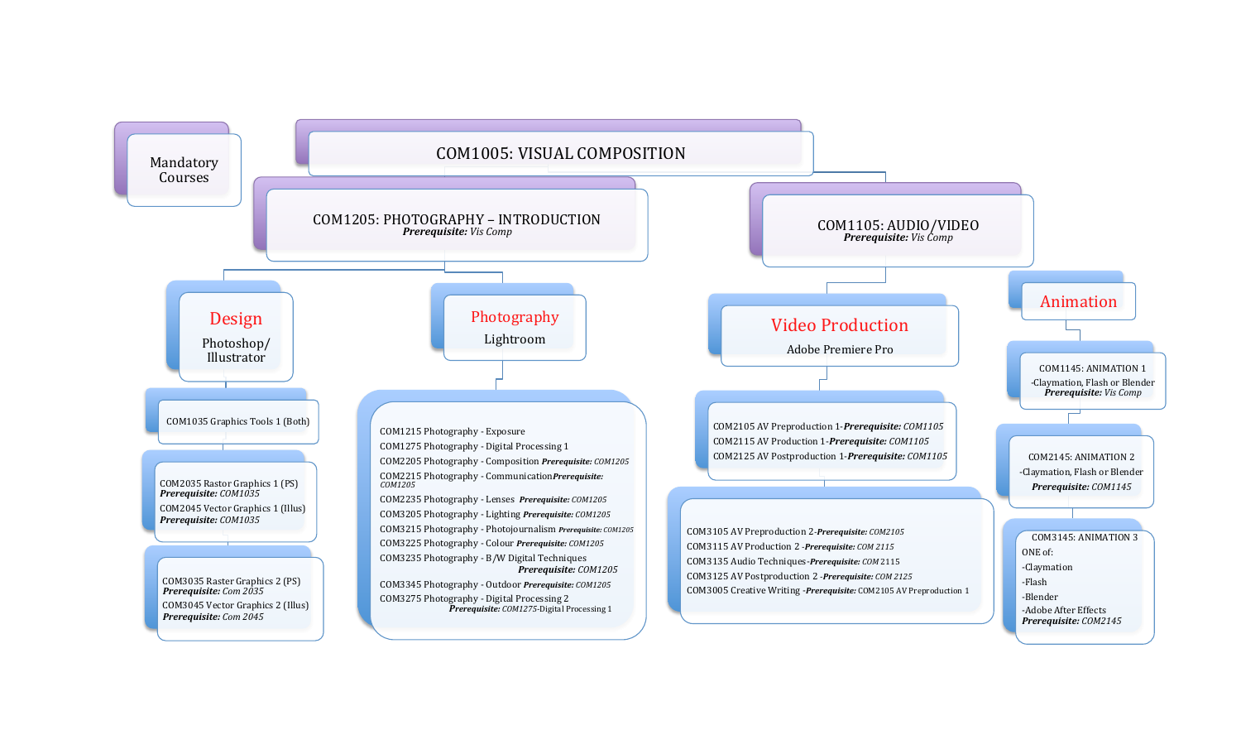